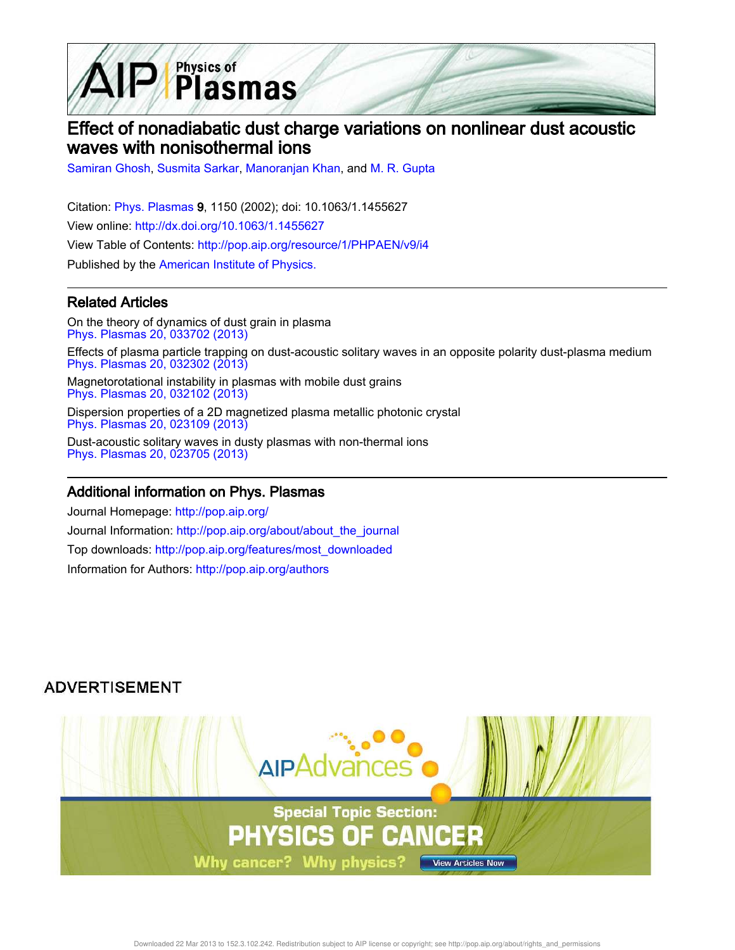

# Effect of nonadiabatic dust charge variations on nonlinear dust acoustic waves with nonisothermal ions

Samiran Ghosh, Susmita Sarkar, Manoranjan Khan, and M. R. Gupta

Citation: Phys. Plasmas 9, 1150 (2002); doi: 10.1063/1.1455627 View online: http://dx.doi.org/10.1063/1.1455627 View Table of Contents: http://pop.aip.org/resource/1/PHPAEN/v9/i4 Published by the American Institute of Physics.

### Related Articles

On the theory of dynamics of dust grain in plasma Phys. Plasmas 20, 033702 (2013) Effects of plasma particle trapping on dust-acoustic solitary waves in an opposite polarity dust-plasma medium Phys. Plasmas 20, 032302 (2013)

Magnetorotational instability in plasmas with mobile dust grains Phys. Plasmas 20, 032102 (2013)

Dispersion properties of a 2D magnetized plasma metallic photonic crystal Phys. Plasmas 20, 023109 (2013)

Dust-acoustic solitary waves in dusty plasmas with non-thermal ions Phys. Plasmas 20, 023705 (2013)

### Additional information on Phys. Plasmas

Journal Homepage: http://pop.aip.org/ Journal Information: http://pop.aip.org/about/about\_the\_journal Top downloads: http://pop.aip.org/features/most\_downloaded Information for Authors: http://pop.aip.org/authors

## **ADVERTISEMENT**

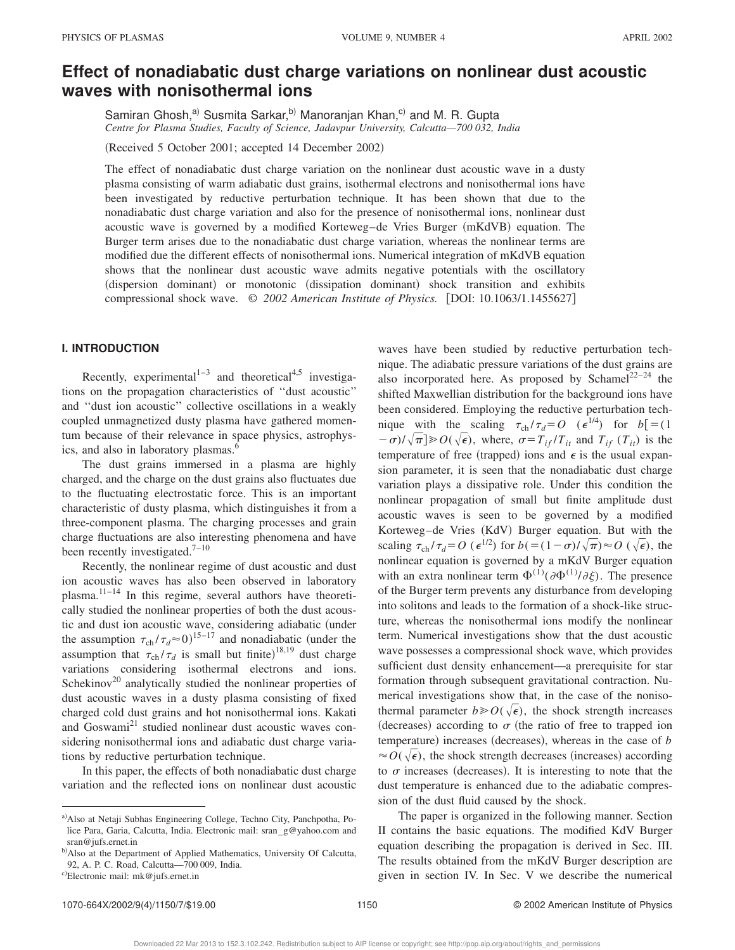## **Effect of nonadiabatic dust charge variations on nonlinear dust acoustic waves with nonisothermal ions**

Samiran Ghosh,<sup>a)</sup> Susmita Sarkar,<sup>b)</sup> Manoranjan Khan,<sup>c)</sup> and M. R. Gupta *Centre for Plasma Studies, Faculty of Science, Jadavpur University, Calcutta—700 032, India*

(Received 5 October 2001; accepted 14 December 2002)

The effect of nonadiabatic dust charge variation on the nonlinear dust acoustic wave in a dusty plasma consisting of warm adiabatic dust grains, isothermal electrons and nonisothermal ions have been investigated by reductive perturbation technique. It has been shown that due to the nonadiabatic dust charge variation and also for the presence of nonisothermal ions, nonlinear dust acoustic wave is governed by a modified Korteweg–de Vries Burger (mKdVB) equation. The Burger term arises due to the nonadiabatic dust charge variation, whereas the nonlinear terms are modified due the different effects of nonisothermal ions. Numerical integration of mKdVB equation shows that the nonlinear dust acoustic wave admits negative potentials with the oscillatory (dispersion dominant) or monotonic (dissipation dominant) shock transition and exhibits compressional shock wave.  $\odot$  2002 American Institute of Physics. [DOI: 10.1063/1.1455627]

#### **I. INTRODUCTION**

Recently, experimental $1^{1-3}$  and theoretical<sup>4,5</sup> investigations on the propagation characteristics of ''dust acoustic'' and ''dust ion acoustic'' collective oscillations in a weakly coupled unmagnetized dusty plasma have gathered momentum because of their relevance in space physics, astrophysics, and also in laboratory plasmas.<sup>6</sup>

The dust grains immersed in a plasma are highly charged, and the charge on the dust grains also fluctuates due to the fluctuating electrostatic force. This is an important characteristic of dusty plasma, which distinguishes it from a three-component plasma. The charging processes and grain charge fluctuations are also interesting phenomena and have been recently investigated.<sup>7-10</sup>

Recently, the nonlinear regime of dust acoustic and dust ion acoustic waves has also been observed in laboratory plasma.11–14 In this regime, several authors have theoretically studied the nonlinear properties of both the dust acoustic and dust ion acoustic wave, considering adiabatic (under the assumption  $\tau_{ch} / \tau_d \approx 0$ <sup>15–17</sup> and nonadiabatic (under the assumption that  $\tau_{ch}/\tau_d$  is small but finite)<sup>18,19</sup> dust charge variations considering isothermal electrons and ions. Schekinov<sup>20</sup> analytically studied the nonlinear properties of dust acoustic waves in a dusty plasma consisting of fixed charged cold dust grains and hot nonisothermal ions. Kakati and Goswami<sup>21</sup> studied nonlinear dust acoustic waves considering nonisothermal ions and adiabatic dust charge variations by reductive perturbation technique.

In this paper, the effects of both nonadiabatic dust charge variation and the reflected ions on nonlinear dust acoustic waves have been studied by reductive perturbation technique. The adiabatic pressure variations of the dust grains are also incorporated here. As proposed by Schamel<sup>22–24</sup> the shifted Maxwellian distribution for the background ions have been considered. Employing the reductive perturbation technique with the scaling  $\tau_{ch} / \tau_d = O$  ( $\epsilon^{1/4}$ ) for  $b = (1$  $(-\sigma)/\sqrt{\pi}$   $\gg$   $O(\sqrt{\epsilon})$ , where,  $\sigma = T_{if}/T_{it}$  and  $T_{if}(T_{it})$  is the temperature of free (trapped) ions and  $\epsilon$  is the usual expansion parameter, it is seen that the nonadiabatic dust charge variation plays a dissipative role. Under this condition the nonlinear propagation of small but finite amplitude dust acoustic waves is seen to be governed by a modified Korteweg–de Vries (KdV) Burger equation. But with the scaling  $\tau_{ch} / \tau_d = O\left(\epsilon^{1/2}\right)$  for  $b = (1 - \sigma) / \sqrt{\pi} \approx O\left(\sqrt{\epsilon}\right)$ , the nonlinear equation is governed by a mKdV Burger equation with an extra nonlinear term  $\Phi^{(1)}(\partial \Phi^{(1)}/\partial \xi)$ . The presence of the Burger term prevents any disturbance from developing into solitons and leads to the formation of a shock-like structure, whereas the nonisothermal ions modify the nonlinear term. Numerical investigations show that the dust acoustic wave possesses a compressional shock wave, which provides sufficient dust density enhancement—a prerequisite for star formation through subsequent gravitational contraction. Numerical investigations show that, in the case of the nonisothermal parameter  $b \ge 0 \, (\sqrt{\epsilon})$ , the shock strength increases (decreases) according to  $\sigma$  (the ratio of free to trapped ion temperature) increases (decreases), whereas in the case of *b*  $\approx$  *O*( $\sqrt{\epsilon}$ ), the shock strength decreases (increases) according to  $\sigma$  increases (decreases). It is interesting to note that the dust temperature is enhanced due to the adiabatic compression of the dust fluid caused by the shock.

The paper is organized in the following manner. Section II contains the basic equations. The modified KdV Burger equation describing the propagation is derived in Sec. III. The results obtained from the mKdV Burger description are given in section IV. In Sec. V we describe the numerical

a) Also at Netaji Subhas Engineering College, Techno City, Panchpotha, Police Para, Garia, Calcutta, India. Electronic mail: sran – g@yahoo.com and sran@jufs.ernet.in

b) Also at the Department of Applied Mathematics, University Of Calcutta, 92, A. P. C. Road, Calcutta—700 009, India.

c)Electronic mail: mk@jufs.ernet.in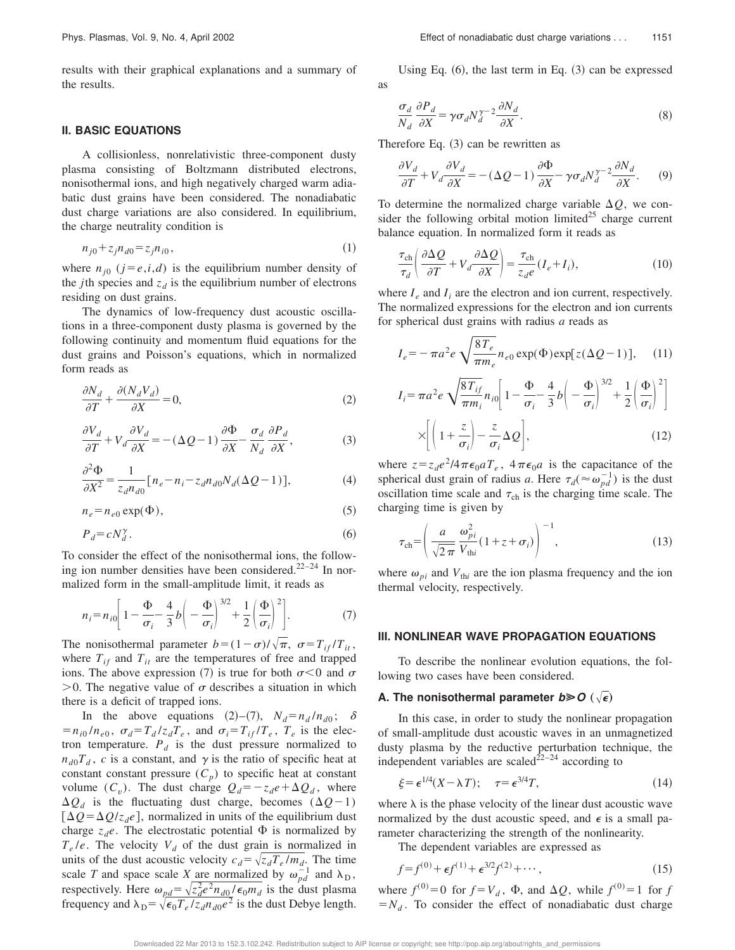results with their graphical explanations and a summary of the results.

#### **II. BASIC EQUATIONS**

A collisionless, nonrelativistic three-component dusty plasma consisting of Boltzmann distributed electrons, nonisothermal ions, and high negatively charged warm adiabatic dust grains have been considered. The nonadiabatic dust charge variations are also considered. In equilibrium, the charge neutrality condition is

$$
n_{j0} + z_j n_{d0} = z_j n_{i0},\tag{1}
$$

where  $n_{j0}$  ( $j = e, i, d$ ) is the equilibrium number density of the *j*th species and  $z_d$  is the equilibrium number of electrons residing on dust grains.

The dynamics of low-frequency dust acoustic oscillations in a three-component dusty plasma is governed by the following continuity and momentum fluid equations for the dust grains and Poisson's equations, which in normalized form reads as

$$
\frac{\partial N_d}{\partial T} + \frac{\partial (N_d V_d)}{\partial X} = 0,\tag{2}
$$

$$
\frac{\partial V_d}{\partial T} + V_d \frac{\partial V_d}{\partial X} = -(\Delta Q - 1) \frac{\partial \Phi}{\partial X} - \frac{\sigma_d}{N_d} \frac{\partial P_d}{\partial X},\tag{3}
$$

$$
\frac{\partial^2 \Phi}{\partial X^2} = \frac{1}{z_d n_{d0}} \big[ n_e - n_i - z_d n_{d0} N_d (\Delta Q - 1) \big],\tag{4}
$$

$$
n_e = n_{e0} \exp(\Phi),\tag{5}
$$

$$
P_d = cN_d^{\gamma}.
$$
\n<sup>(6)</sup>

To consider the effect of the nonisothermal ions, the following ion number densities have been considered.22–24 In normalized form in the small-amplitude limit, it reads as

$$
n_i = n_{i0} \bigg[ 1 - \frac{\Phi}{\sigma_i} - \frac{4}{3} b \bigg( - \frac{\Phi}{\sigma_i} \bigg)^{3/2} + \frac{1}{2} \bigg( \frac{\Phi}{\sigma_i} \bigg)^2 \bigg]. \tag{7}
$$

The nonisothermal parameter  $b = (1 - \sigma)/\sqrt{\pi}$ ,  $\sigma = T_{if}/T_{it}$ , where  $T_{if}$  and  $T_{it}$  are the temperatures of free and trapped ions. The above expression (7) is true for both  $\sigma < 0$  and  $\sigma$  $>0$ . The negative value of  $\sigma$  describes a situation in which there is a deficit of trapped ions.

In the above equations (2)–(7),  $N_d = n_d/n_{d0}$ ;  $\delta$  $=n_{i0}/n_{e0}$ ,  $\sigma_d = T_d/z_dT_e$ , and  $\sigma_i = T_{if}/T_e$ ,  $T_e$  is the electron temperature.  $P_d$  is the dust pressure normalized to  $n_{d0}T_d$ , *c* is a constant, and  $\gamma$  is the ratio of specific heat at constant constant pressure  $(C_p)$  to specific heat at constant volume  $(C_v)$ . The dust charge  $Q_d = -z_d e + \Delta Q_d$ , where  $\Delta Q_d$  is the fluctuating dust charge, becomes  $(\Delta Q - 1)$  $[\Delta Q = \Delta Q / z_d e]$ , normalized in units of the equilibrium dust charge  $z_d$ *e*. The electrostatic potential  $\Phi$  is normalized by  $T_e/e$ . The velocity  $V_d$  of the dust grain is normalized in units of the dust acoustic velocity  $c_d = \sqrt{z_d T_e / m_d}$ . The time scale *T* and space scale *X* are normalized by  $\omega_{pd}^{-1}$  and  $\lambda_{D}$ , respectively. Here  $\omega_{pd} = \sqrt{z_d^2 e^2 n_{d0} / \epsilon_0 m_d}$  is the dust plasma frequency and  $\lambda_{\rm D} = \sqrt{\epsilon_0 T_e/z_d n_{d0}e^2}$  is the dust Debye length.

Using Eq.  $(6)$ , the last term in Eq.  $(3)$  can be expressed as

$$
\frac{\sigma_d}{N_d} \frac{\partial P_d}{\partial X} = \gamma \sigma_d N_d^{\gamma - 2} \frac{\partial N_d}{\partial X}.
$$
 (8)

Therefore Eq.  $(3)$  can be rewritten as

$$
\frac{\partial V_d}{\partial T} + V_d \frac{\partial V_d}{\partial X} = -(\Delta Q - 1) \frac{\partial \Phi}{\partial X} - \gamma \sigma_d N_d^{\gamma - 2} \frac{\partial N_d}{\partial X}.
$$
 (9)

To determine the normalized charge variable  $\Delta Q$ , we consider the following orbital motion limited $^{25}$  charge current balance equation. In normalized form it reads as

$$
\frac{\tau_{\rm ch}}{\tau_d} \left( \frac{\partial \Delta Q}{\partial T} + V_d \frac{\partial \Delta Q}{\partial X} \right) = \frac{\tau_{\rm ch}}{z_d e} (I_e + I_i),\tag{10}
$$

where  $I_e$  and  $I_i$  are the electron and ion current, respectively. The normalized expressions for the electron and ion currents for spherical dust grains with radius *a* reads as

$$
I_e = -\pi a^2 e \sqrt{\frac{8T_e}{\pi m_e}} n_{e0} \exp(\Phi) \exp[z(\Delta Q - 1)], \quad (11)
$$

$$
I_i = \pi a^2 e \sqrt{\frac{8T_{if}}{\pi m_i}} n_{i0} \left[ 1 - \frac{\Phi}{\sigma_i} - \frac{4}{3} b \left( - \frac{\Phi}{\sigma_i} \right)^{3/2} + \frac{1}{2} \left( \frac{\Phi}{\sigma_i} \right)^2 \right]
$$

$$
\times \left[ \left( 1 + \frac{z}{\sigma_i} \right) - \frac{z}{\sigma_i} \Delta Q \right],
$$
(12)

where  $z = z_d e^2/4\pi\epsilon_0 a T_e$ ,  $4\pi\epsilon_0 a$  is the capacitance of the spherical dust grain of radius *a*. Here  $\tau_d$  ( $\approx \omega_{pd}^{-1}$ ) is the dust oscillation time scale and  $\tau_{ch}$  is the charging time scale. The charging time is given by

$$
\tau_{\rm ch} = \left(\frac{a}{\sqrt{2\pi}} \frac{\omega_{pi}^2}{V_{\rm thi}} (1 + z + \sigma_i)\right)^{-1},\tag{13}
$$

where  $\omega_{pi}$  and  $V_{\text{th}i}$  are the ion plasma frequency and the ion thermal velocity, respectively.

#### **III. NONLINEAR WAVE PROPAGATION EQUATIONS**

To describe the nonlinear evolution equations, the following two cases have been considered.

#### **A. The nonisothermal parameter**  $b \ge 0 \ (\sqrt{\epsilon})$

In this case, in order to study the nonlinear propagation of small-amplitude dust acoustic waves in an unmagnetized dusty plasma by the reductive perturbation technique, the independent variables are scaled<sup> $22-24$ </sup> according to

$$
\xi = \epsilon^{1/4} (X - \lambda T); \quad \tau = \epsilon^{3/4} T, \tag{14}
$$

where  $\lambda$  is the phase velocity of the linear dust acoustic wave normalized by the dust acoustic speed, and  $\epsilon$  is a small parameter characterizing the strength of the nonlinearity.

The dependent variables are expressed as

$$
f = f^{(0)} + \epsilon f^{(1)} + \epsilon^{3/2} f^{(2)} + \cdots, \tag{15}
$$

where  $f^{(0)} = 0$  for  $f = V_d$ ,  $\Phi$ , and  $\Delta Q$ , while  $f^{(0)} = 1$  for *f*  $=N_d$ . To consider the effect of nonadiabatic dust charge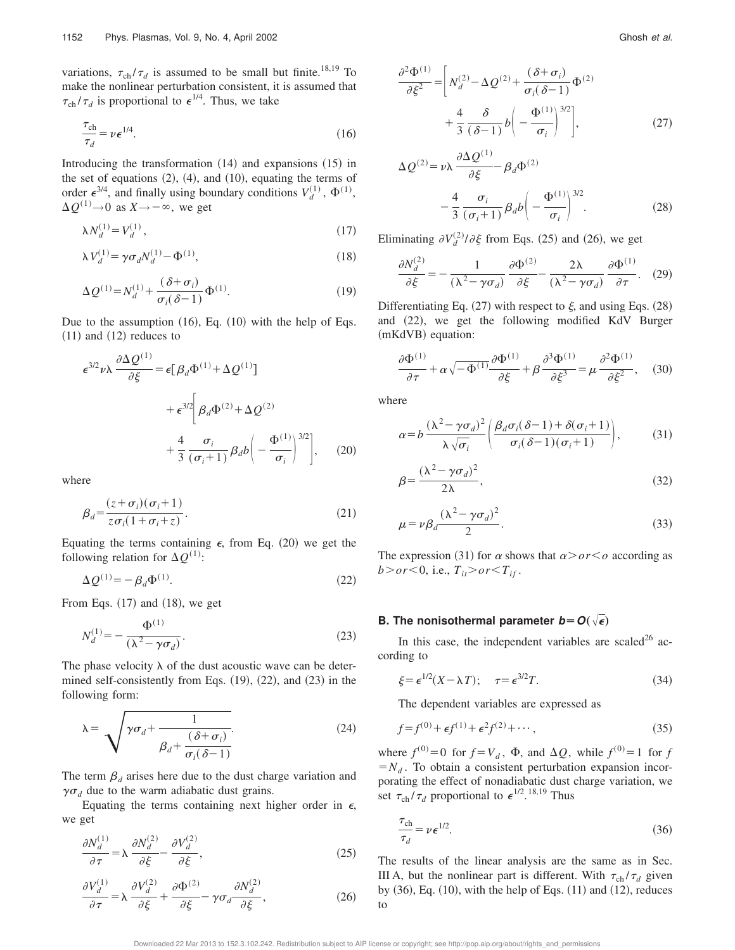variations,  $\tau_{ch}/\tau_d$  is assumed to be small but finite.<sup>18,19</sup> To make the nonlinear perturbation consistent, it is assumed that  $\tau_{ch}/\tau_d$  is proportional to  $\epsilon^{1/4}$ . Thus, we take

$$
\frac{\tau_{\text{ch}}}{\tau_d} = \nu \epsilon^{1/4}.
$$
\n(16)

Introducing the transformation  $(14)$  and expansions  $(15)$  in the set of equations  $(2)$ ,  $(4)$ , and  $(10)$ , equating the terms of order  $\epsilon^{3/4}$ , and finally using boundary conditions  $V_d^{(1)}$ ,  $\Phi^{(1)}$ ,  $\Delta Q^{(1)} \rightarrow 0$  as  $X \rightarrow -\infty$ , we get

$$
\lambda N_d^{(1)} = V_d^{(1)} \,, \tag{17}
$$

$$
\lambda V_d^{(1)} = \gamma \sigma_d N_d^{(1)} - \Phi^{(1)},\tag{18}
$$

$$
\Delta Q^{(1)} = N_d^{(1)} + \frac{(\delta + \sigma_i)}{\sigma_i(\delta - 1)} \Phi^{(1)}.
$$
 (19)

Due to the assumption  $(16)$ , Eq.  $(10)$  with the help of Eqs.  $(11)$  and  $(12)$  reduces to

$$
\epsilon^{3/2} \nu \lambda \frac{\partial \Delta Q^{(1)}}{\partial \xi} = \epsilon [\beta_d \Phi^{(1)} + \Delta Q^{(1)}] \n+ \epsilon^{3/2} \left[ \beta_d \Phi^{(2)} + \Delta Q^{(2)} + \frac{4}{3} \frac{\sigma_i}{(\sigma_i + 1)} \beta_d b \left( - \frac{\Phi^{(1)}}{\sigma_i} \right)^{3/2} \right],
$$
\n(20)

where

$$
\beta_d = \frac{(z + \sigma_i)(\sigma_i + 1)}{z\sigma_i(1 + \sigma_i + z)}.
$$
\n(21)

Equating the terms containing  $\epsilon$ , from Eq. (20) we get the following relation for  $\Delta Q^{(1)}$ :

$$
\Delta \mathcal{Q}^{(1)} = -\beta_d \Phi^{(1)}.
$$
\n
$$
(22)
$$

From Eqs.  $(17)$  and  $(18)$ , we get

$$
N_d^{(1)} = -\frac{\Phi^{(1)}}{(\lambda^2 - \gamma \sigma_d)}.
$$
\n(23)

The phase velocity  $\lambda$  of the dust acoustic wave can be determined self-consistently from Eqs.  $(19)$ ,  $(22)$ , and  $(23)$  in the following form:

$$
\lambda = \sqrt{\gamma \sigma_d + \frac{1}{\beta_d + \frac{(\delta + \sigma_i)}{\sigma_i(\delta - 1)}}}
$$
(24)

The term  $\beta_d$  arises here due to the dust charge variation and  $\gamma \sigma_d$  due to the warm adiabatic dust grains.

Equating the terms containing next higher order in  $\epsilon$ , we get

$$
\frac{\partial N_d^{(1)}}{\partial \tau} = \lambda \frac{\partial N_d^{(2)}}{\partial \xi} - \frac{\partial V_d^{(2)}}{\partial \xi},\tag{25}
$$

$$
\frac{\partial V_d^{(1)}}{\partial \tau} = \lambda \frac{\partial V_d^{(2)}}{\partial \xi} + \frac{\partial \Phi^{(2)}}{\partial \xi} - \gamma \sigma_d \frac{\partial N_d^{(2)}}{\partial \xi},\tag{26}
$$

$$
\frac{\partial^2 \Phi^{(1)}}{\partial \xi^2} = \left[ N_d^{(2)} - \Delta Q^{(2)} + \frac{(\delta + \sigma_i)}{\sigma_i (\delta - 1)} \Phi^{(2)} \right. \\
\left. + \frac{4}{3} \frac{\delta}{(\delta - 1)} b \left( -\frac{\Phi^{(1)}}{\sigma_i} \right)^{3/2} \right],
$$
\n(27)

$$
\Delta Q^{(2)} = \nu \lambda \frac{\partial \Delta Q^{(1)}}{\partial \xi} - \beta_d \Phi^{(2)}
$$

$$
- \frac{4}{3} \frac{\sigma_i}{(\sigma_i + 1)} \beta_d b \left( -\frac{\Phi^{(1)}}{\sigma_i} \right)^{3/2} . \tag{28}
$$

Eliminating  $\partial V_d^{(2)}/\partial \xi$  from Eqs. (25) and (26), we get

 $(1)$ 

$$
\frac{\partial N_d^{(2)}}{\partial \xi} = -\frac{1}{(\lambda^2 - \gamma \sigma_d)} \frac{\partial \Phi^{(2)}}{\partial \xi} - \frac{2\lambda}{(\lambda^2 - \gamma \sigma_d)} \frac{\partial \Phi^{(1)}}{\partial \tau}.
$$
 (29)

Differentiating Eq. (27) with respect to  $\xi$ , and using Eqs. (28) and  $(22)$ , we get the following modified KdV Burger (mKdVB) equation:

$$
\frac{\partial \Phi^{(1)}}{\partial \tau} + \alpha \sqrt{-\Phi^{(1)}} \frac{\partial \Phi^{(1)}}{\partial \xi} + \beta \frac{\partial^3 \Phi^{(1)}}{\partial \xi^3} = \mu \frac{\partial^2 \Phi^{(1)}}{\partial \xi^2}, \quad (30)
$$

where

$$
\alpha = b \frac{(\lambda^2 - \gamma \sigma_d)^2}{\lambda \sqrt{\sigma_i}} \left( \frac{\beta_d \sigma_i (\delta - 1) + \delta(\sigma_i + 1)}{\sigma_i (\delta - 1)(\sigma_i + 1)} \right), \tag{31}
$$

$$
\beta = \frac{(\lambda^2 - \gamma \sigma_d)^2}{2\lambda},\tag{32}
$$

$$
\mu = \nu \beta_d \frac{(\lambda^2 - \gamma \sigma_d)^2}{2}.
$$
\n(33)

The expression (31) for  $\alpha$  shows that  $\alpha$ *>or* < *o* according as  $b > or < 0$ , i.e.,  $T_{it} > or < T_{if}$ .

#### **B.** The nonisothermal parameter  $b = O(\sqrt{\epsilon})$

In this case, the independent variables are scaled<sup>26</sup> according to

$$
\xi = \epsilon^{1/2} (X - \lambda T); \quad \tau = \epsilon^{3/2} T. \tag{34}
$$

The dependent variables are expressed as

$$
f = f^{(0)} + \epsilon f^{(1)} + \epsilon^2 f^{(2)} + \cdots,
$$
 (35)

where  $f^{(0)} = 0$  for  $f = V_d$ ,  $\Phi$ , and  $\Delta Q$ , while  $f^{(0)} = 1$  for *f*  $=N_d$ . To obtain a consistent perturbation expansion incorporating the effect of nonadiabatic dust charge variation, we set  $\tau_{ch}/\tau_d$  proportional to  $\epsilon^{1/2}$ .<sup>18,19</sup> Thus

$$
\frac{\tau_{\rm ch}}{\tau_d} = \nu \,\epsilon^{1/2}.\tag{36}
$$

The results of the linear analysis are the same as in Sec. III A, but the nonlinear part is different. With  $\tau_{ch} / \tau_d$  given by  $(36)$ , Eq.  $(10)$ , with the help of Eqs.  $(11)$  and  $(12)$ , reduces to

Downloaded 22 Mar 2013 to 152.3.102.242. Redistribution subject to AIP license or copyright; see http://pop.aip.org/about/rights\_and\_permissions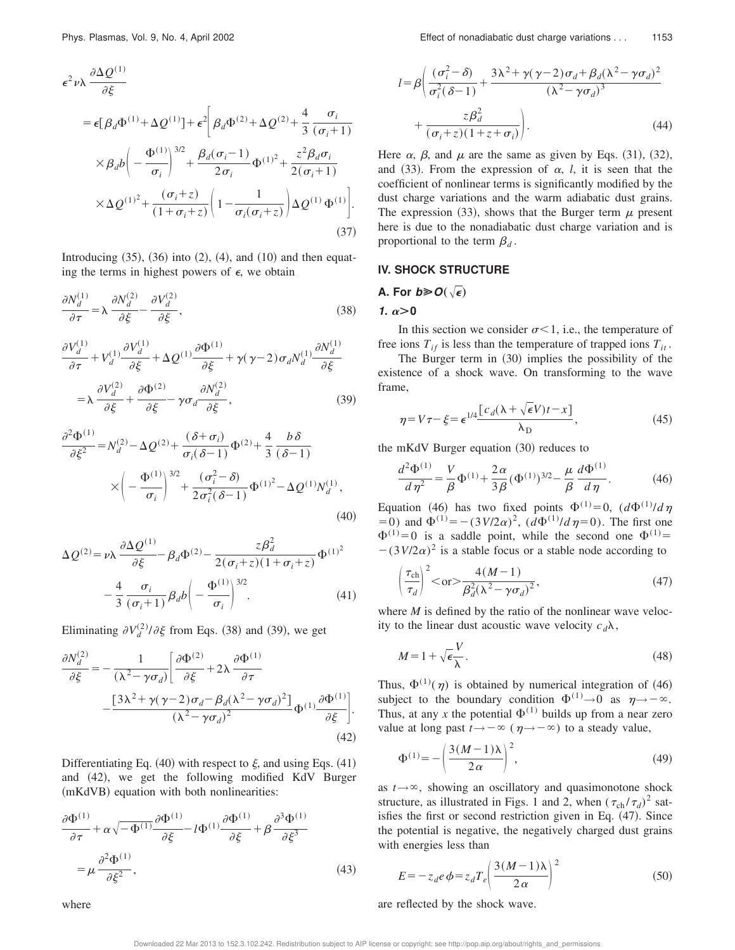$$
\epsilon^2 \nu \lambda \frac{\partial \Delta Q^{(1)}}{\partial \xi}
$$
\n
$$
= \epsilon [\beta_d \Phi^{(1)} + \Delta Q^{(1)}] + \epsilon^2 \left[ \beta_d \Phi^{(2)} + \Delta Q^{(2)} + \frac{4}{3} \frac{\sigma_i}{(\sigma_i + 1)} \times \beta_d b \left( -\frac{\Phi^{(1)}}{\sigma_i} \right)^{3/2} + \frac{\beta_d (\sigma_i - 1)}{2 \sigma_i} \Phi^{(1)^2} + \frac{z^2 \beta_d \sigma_i}{2 (\sigma_i + 1)} \times \Delta Q^{(1)^2} + \frac{(\sigma_i + z)}{(1 + \sigma_i + z)} \left( 1 - \frac{1}{\sigma_i (\sigma_i + z)} \right) \Delta Q^{(1)} \Phi^{(1)} \right].
$$
\n(37)

Introducing  $(35)$ ,  $(36)$  into  $(2)$ ,  $(4)$ , and  $(10)$  and then equating the terms in highest powers of  $\epsilon$ , we obtain

$$
\frac{\partial N_d^{(1)}}{\partial \tau} = \lambda \frac{\partial N_d^{(2)}}{\partial \xi} - \frac{\partial V_d^{(2)}}{\partial \xi},\tag{38}
$$

$$
\frac{\partial V_d^{(1)}}{\partial \tau} + V_d^{(1)} \frac{\partial V_d^{(1)}}{\partial \xi} + \Delta Q^{(1)} \frac{\partial \Phi^{(1)}}{\partial \xi} + \gamma (\gamma - 2) \sigma_d N_d^{(1)} \frac{\partial N_d^{(1)}}{\partial \xi}
$$

$$
= \lambda \frac{\partial V_d^{(2)}}{\partial \xi} + \frac{\partial \Phi^{(2)}}{\partial \xi} - \gamma \sigma_d \frac{\partial N_d^{(2)}}{\partial \xi}, \qquad (39)
$$

$$
\frac{\partial^2 \Phi^{(1)}}{\partial \xi^2} = N_d^{(2)} - \Delta Q^{(2)} + \frac{(\delta + \sigma_i)}{\sigma_i(\delta - 1)} \Phi^{(2)} + \frac{4}{3} \frac{b \delta}{(\delta - 1)}
$$

$$
\times \left( -\frac{\Phi^{(1)}}{\sigma_i} \right)^{3/2} + \frac{(\sigma_i^2 - \delta)}{2\sigma_i^2(\delta - 1)} \Phi^{(1)^2} - \Delta Q^{(1)} N_d^{(1)}, \tag{40}
$$

$$
\Delta Q^{(2)} = \nu \lambda \frac{\partial \Delta Q^{(1)}}{\partial \xi} - \beta_d \Phi^{(2)} - \frac{z \beta_d^2}{2(\sigma_i + z)(1 + \sigma_i + z)} \Phi^{(1)^2}
$$

$$
-\frac{4}{3} \frac{\sigma_i}{(\sigma_i + 1)} \beta_d b \left( -\frac{\Phi^{(1)}}{\sigma_i} \right)^{3/2} . \tag{41}
$$

Eliminating  $\partial V_d^{(2)}/\partial \xi$  from Eqs. (38) and (39), we get

$$
\frac{\partial N_d^{(2)}}{\partial \xi} = -\frac{1}{(\lambda^2 - \gamma \sigma_d)} \left[ \frac{\partial \Phi^{(2)}}{\partial \xi} + 2\lambda \frac{\partial \Phi^{(1)}}{\partial \tau} - \frac{\left[ 3\lambda^2 + \gamma (\gamma - 2) \sigma_d - \beta_d (\lambda^2 - \gamma \sigma_d)^2 \right]}{(\lambda^2 - \gamma \sigma_d)^2} \Phi^{(1)} \frac{\partial \Phi^{(1)}}{\partial \xi} \right].
$$
\n(42)

Differentiating Eq. (40) with respect to  $\xi$ , and using Eqs. (41) and (42), we get the following modified KdV Burger (mKdVB) equation with both nonlinearities:

$$
\frac{\partial \Phi^{(1)}}{\partial \tau} + \alpha \sqrt{-\Phi^{(1)}} \frac{\partial \Phi^{(1)}}{\partial \xi} - l \Phi^{(1)} \frac{\partial \Phi^{(1)}}{\partial \xi} + \beta \frac{\partial^3 \Phi^{(1)}}{\partial \xi^3}
$$

$$
= \mu \frac{\partial^2 \Phi^{(1)}}{\partial \xi^2},
$$
(43)

where

$$
l = \beta \left( \frac{(\sigma_i^2 - \delta)}{\sigma_i^2 (\delta - 1)} + \frac{3\lambda^2 + \gamma (\gamma - 2)\sigma_d + \beta_d (\lambda^2 - \gamma \sigma_d)^2}{(\lambda^2 - \gamma \sigma_d)^3} + \frac{z\beta_d^2}{(\sigma_i + z)(1 + z + \sigma_i)} \right).
$$
\n(44)

Here  $\alpha$ ,  $\beta$ , and  $\mu$  are the same as given by Eqs. (31), (32), and  $(33)$ . From the expression of  $\alpha$ , *l*, it is seen that the coefficient of nonlinear terms is significantly modified by the dust charge variations and the warm adiabatic dust grains. The expression (33), shows that the Burger term  $\mu$  present here is due to the nonadiabatic dust charge variation and is proportional to the term  $\beta_d$ .

#### **IV. SHOCK STRUCTURE**

A. For 
$$
b \geq 0(\sqrt{\epsilon})
$$

#### **1.**  $\alpha > 0$

In this section we consider  $\sigma < 1$ , i.e., the temperature of free ions  $T_{if}$  is less than the temperature of trapped ions  $T_{it}$ .

The Burger term in  $(30)$  implies the possibility of the existence of a shock wave. On transforming to the wave frame,

$$
\eta = V\tau - \xi = \epsilon^{1/4} \frac{\left[c_d(\lambda + \sqrt{\epsilon}V)t - x\right]}{\lambda_D},\tag{45}
$$

the mKdV Burger equation  $(30)$  reduces to

$$
\frac{d^2\Phi^{(1)}}{d\eta^2} = \frac{V}{\beta}\Phi^{(1)} + \frac{2\alpha}{3\beta}(\Phi^{(1)})^{3/2} - \frac{\mu}{\beta}\frac{d\Phi^{(1)}}{d\eta}.
$$
 (46)

Equation (46) has two fixed points  $\Phi^{(1)}=0$ ,  $(d\Phi^{(1)}/d\eta)$  $(50)$  and  $\Phi^{(1)} = -(3V/2\alpha)^2$ ,  $(d\Phi^{(1)}/d\eta=0)$ . The first one  $\Phi^{(1)}=0$  is a saddle point, while the second one  $\Phi^{(1)}=$  $-(3V/2\alpha)^2$  is a stable focus or a stable node according to

$$
\left(\frac{\tau_{\text{ch}}}{\tau_d}\right)^2 < \text{or} > \frac{4(M-1)}{\beta_d^2(\lambda^2 - \gamma \sigma_d)^2},\tag{47}
$$

where *M* is defined by the ratio of the nonlinear wave velocity to the linear dust acoustic wave velocity  $c_d\lambda$ ,

$$
M = 1 + \sqrt{\epsilon} \frac{V}{\lambda}.
$$
\n(48)

Thus,  $\Phi^{(1)}(\eta)$  is obtained by numerical integration of (46) subject to the boundary condition  $\Phi^{(1)} \rightarrow 0$  as  $\eta \rightarrow -\infty$ . Thus, at any x the potential  $\Phi^{(1)}$  builds up from a near zero value at long past  $t \rightarrow -\infty$  ( $\eta \rightarrow -\infty$ ) to a steady value,

$$
\Phi^{(1)} = -\left(\frac{3(M-1)\lambda}{2\alpha}\right)^2,\tag{49}
$$

as  $t \rightarrow \infty$ , showing an oscillatory and quasimonotone shock structure, as illustrated in Figs. 1 and 2, when  $(\tau_{ch}/\tau_d)^2$  satisfies the first or second restriction given in Eq.  $(47)$ . Since the potential is negative, the negatively charged dust grains with energies less than

$$
E = -z_d e \phi = z_d T_e \left(\frac{3(M-1)\lambda}{2\alpha}\right)^2 \tag{50}
$$

are reflected by the shock wave.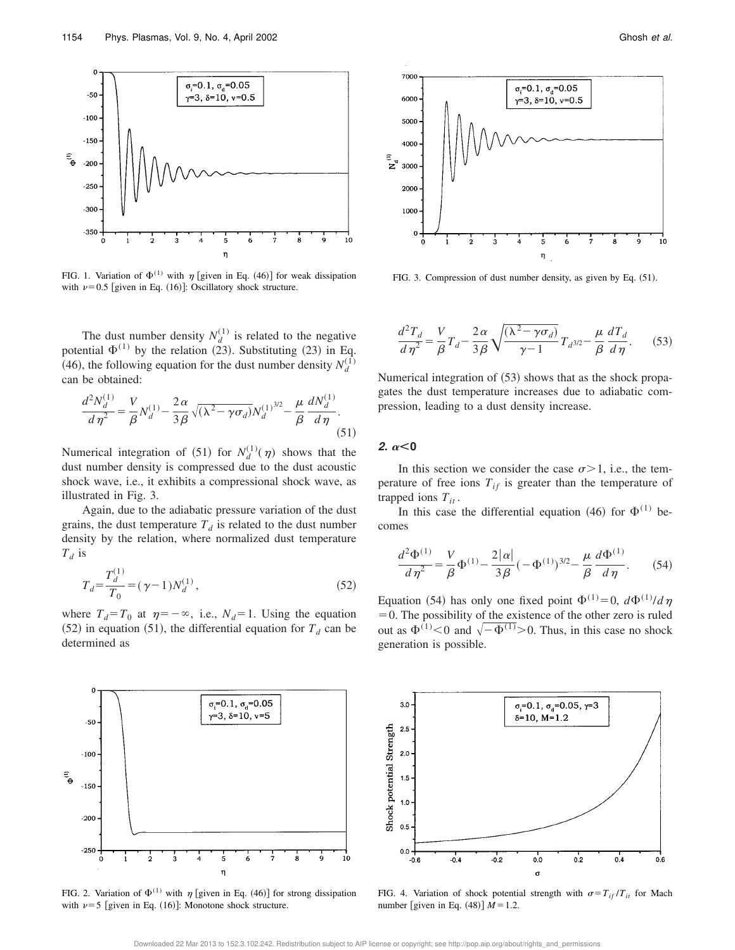

FIG. 1. Variation of  $\Phi^{(1)}$  with  $\eta$  [given in Eq. (46)] for weak dissipation with  $\nu$ =0.5 [given in Eq. (16)]: Oscillatory shock structure.

The dust number density  $N_d^{(1)}$  is related to the negative potential  $\Phi^{(1)}$  by the relation (23). Substituting (23) in Eq. (46), the following equation for the dust number density  $N_d^{(1)}$ can be obtained:

$$
\frac{d^2 N_d^{(1)}}{d \eta^2} = \frac{V}{\beta} N_d^{(1)} - \frac{2 \alpha}{3 \beta} \sqrt{(\lambda^2 - \gamma \sigma_d)} N_d^{(1)^{3/2}} - \frac{\mu}{\beta} \frac{d N_d^{(1)}}{d \eta}.
$$
\n(51)

Numerical integration of (51) for  $N_d^{(1)}(\eta)$  shows that the dust number density is compressed due to the dust acoustic shock wave, i.e., it exhibits a compressional shock wave, as illustrated in Fig. 3.

Again, due to the adiabatic pressure variation of the dust grains, the dust temperature  $T_d$  is related to the dust number density by the relation, where normalized dust temperature *Td* is

$$
T_d = \frac{T_d^{(1)}}{T_0} = (\gamma - 1)N_d^{(1)},\tag{52}
$$

where  $T_d = T_0$  at  $\eta = -\infty$ , i.e.,  $N_d = 1$ . Using the equation  $(52)$  in equation  $(51)$ , the differential equation for  $T_d$  can be determined as



FIG. 2. Variation of  $\Phi^{(1)}$  with  $\eta$  [given in Eq. (46)] for strong dissipation with  $\nu=5$  [given in Eq. (16)]: Monotone shock structure.



FIG. 3. Compression of dust number density, as given by Eq.  $(51)$ .

$$
\frac{d^2T_d}{d\eta^2} = \frac{V}{\beta}T_d - \frac{2\alpha}{3\beta}\sqrt{\frac{(\lambda^2 - \gamma\sigma_d)}{\gamma - 1}}T_d^{3/2} - \frac{\mu}{\beta}\frac{dT_d}{d\eta}.
$$
 (53)

Numerical integration of  $(53)$  shows that as the shock propagates the dust temperature increases due to adiabatic compression, leading to a dust density increase.

**2.**  $\alpha < 0$ 

In this section we consider the case  $\sigma > 1$ , i.e., the temperature of free ions  $T_{if}$  is greater than the temperature of trapped ions  $T_{it}$ .

In this case the differential equation (46) for  $\Phi^{(1)}$  becomes

$$
\frac{d^2\Phi^{(1)}}{d\eta^2} = \frac{V}{\beta}\Phi^{(1)} - \frac{2|\alpha|}{3\beta}(-\Phi^{(1)})^{3/2} - \frac{\mu}{\beta}\frac{d\Phi^{(1)}}{d\eta}.
$$
 (54)

Equation (54) has only one fixed point  $\Phi^{(1)} = 0$ ,  $d\Phi^{(1)}/d\eta$  $=0$ . The possibility of the existence of the other zero is ruled out as  $\Phi^{(1)}$  < 0 and  $\sqrt{-\Phi^{(1)}}$  > 0. Thus, in this case no shock generation is possible.



FIG. 4. Variation of shock potential strength with  $\sigma = T_{if}/T_{it}$  for Mach number [given in Eq.  $(48)$ ]  $M = 1.2$ .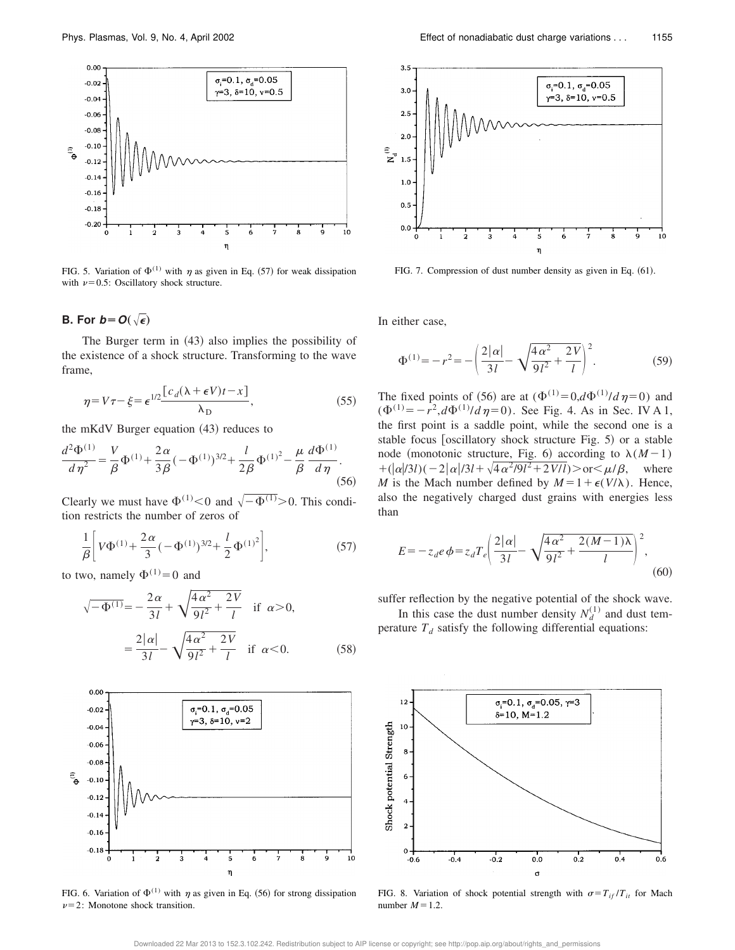

FIG. 5. Variation of  $\Phi^{(1)}$  with  $\eta$  as given in Eq. (57) for weak dissipation with  $\nu=0.5$ : Oscillatory shock structure.

#### **B.** For  $b = O(\sqrt{\epsilon})$

The Burger term in  $(43)$  also implies the possibility of the existence of a shock structure. Transforming to the wave frame,

$$
\eta = V\tau - \xi = \epsilon^{1/2} \frac{\left[c_d(\lambda + \epsilon V)t - x\right]}{\lambda_D},\tag{55}
$$

the mKdV Burger equation  $(43)$  reduces to

$$
\frac{d^2\Phi^{(1)}}{d\eta^2} = \frac{V}{\beta}\Phi^{(1)} + \frac{2\alpha}{3\beta}(-\Phi^{(1)})^{3/2} + \frac{l}{2\beta}\Phi^{(1)^2} - \frac{\mu}{\beta}\frac{d\Phi^{(1)}}{d\eta}.
$$
\n(56)

Clearly we must have  $\Phi^{(1)} < 0$  and  $\sqrt{-\Phi^{(1)}} > 0$ . This condition restricts the number of zeros of

$$
\frac{1}{\beta} \bigg[ V \Phi^{(1)} + \frac{2\alpha}{3} (-\Phi^{(1)})^{3/2} + \frac{l}{2} \Phi^{(1)^2} \bigg],\tag{57}
$$

to two, namely  $\Phi^{(1)} = 0$  and

$$
\sqrt{-\Phi^{(1)}} = -\frac{2\alpha}{3I} + \sqrt{\frac{4\alpha^2}{9I^2} + \frac{2V}{I}} \quad \text{if } \alpha > 0,
$$

$$
= \frac{2|\alpha|}{3I} - \sqrt{\frac{4\alpha^2}{9I^2} + \frac{2V}{I}} \quad \text{if } \alpha < 0.
$$
 (58)



FIG. 6. Variation of  $\Phi^{(1)}$  with  $\eta$  as given in Eq. (56) for strong dissipation  $\nu=2$ : Monotone shock transition.



FIG. 7. Compression of dust number density as given in Eq. (61).

In either case,

$$
\Phi^{(1)} = -r^2 = -\left(\frac{2|\alpha|}{3l} - \sqrt{\frac{4\alpha^2}{9l^2} + \frac{2V}{l}}\right)^2.
$$
 (59)

The fixed points of (56) are at  $(\Phi^{(1)}=0, d\Phi^{(1)}/d\eta=0)$  and  $(\Phi^{(1)} = -r^2, d\Phi^{(1)}/d\eta = 0)$ . See Fig. 4. As in Sec. IV A 1, the first point is a saddle point, while the second one is a stable focus [oscillatory shock structure Fig.  $5$ ) or a stable node (monotonic structure, Fig. 6) according to  $\lambda(M-1)$  $+(|\alpha|/3l)(-2|\alpha|/3l+\sqrt{4\alpha^2/9l^2+2V/l})>$  or  $\lt \mu/\beta$ , where *M* is the Mach number defined by  $M = 1 + \epsilon(V/\lambda)$ . Hence, also the negatively charged dust grains with energies less than

$$
E = -z_d e \phi = z_d T_e \left( \frac{2|\alpha|}{3l} - \sqrt{\frac{4\alpha^2}{9l^2} + \frac{2(M-1)\lambda}{l}} \right)^2,
$$
\n(60)

suffer reflection by the negative potential of the shock wave.

In this case the dust number density  $N_d^{(1)}$  and dust temperature  $T_d$  satisfy the following differential equations:



FIG. 8. Variation of shock potential strength with  $\sigma = T_{if}/T_{it}$  for Mach number  $M=1.2$ .